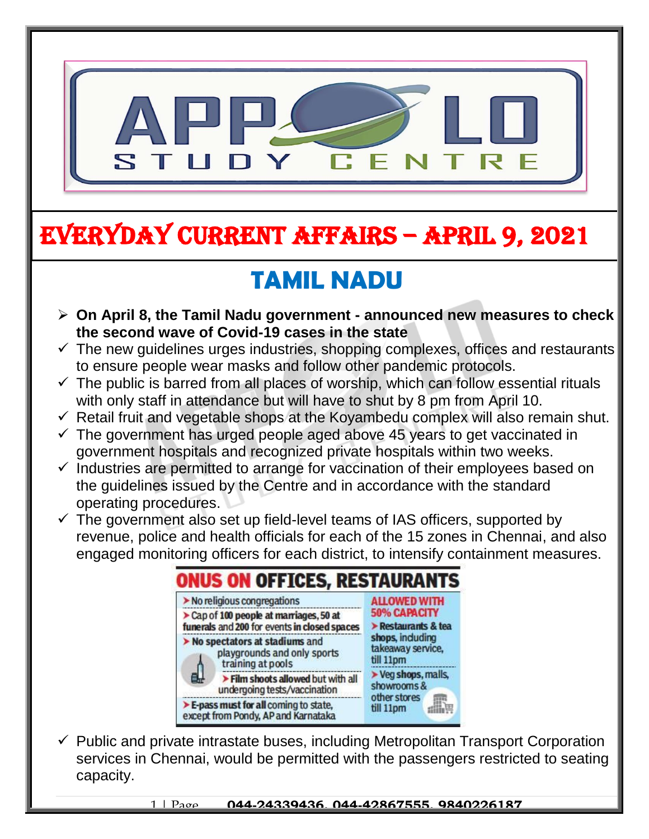

# EVERYDAY CURRENT AFFAIRS – APRIL 9, 2021

-

# **TAMIL NADU**

- **On April 8, the Tamil Nadu government - announced new measures to check the second wave of Covid-19 cases in the state**
- $\checkmark$  The new guidelines urges industries, shopping complexes, offices and restaurants to ensure people wear masks and follow other pandemic protocols.
- $\checkmark$  The public is barred from all places of worship, which can follow essential rituals with only staff in attendance but will have to shut by 8 pm from April 10.
- $\checkmark$  Retail fruit and vegetable shops at the Koyambedu complex will also remain shut.
- $\checkmark$  The government has urged people aged above 45 years to get vaccinated in government hospitals and recognized private hospitals within two weeks.
- $\checkmark$  Industries are permitted to arrange for vaccination of their employees based on the guidelines issued by the Centre and in accordance with the standard operating procedures.
- $\checkmark$  The government also set up field-level teams of IAS officers, supported by revenue, police and health officials for each of the 15 zones in Chennai, and also engaged monitoring officers for each district, to intensify containment measures.



 $\checkmark$  Public and private intrastate buses, including Metropolitan Transport Corporation services in Chennai, would be permitted with the passengers restricted to seating capacity.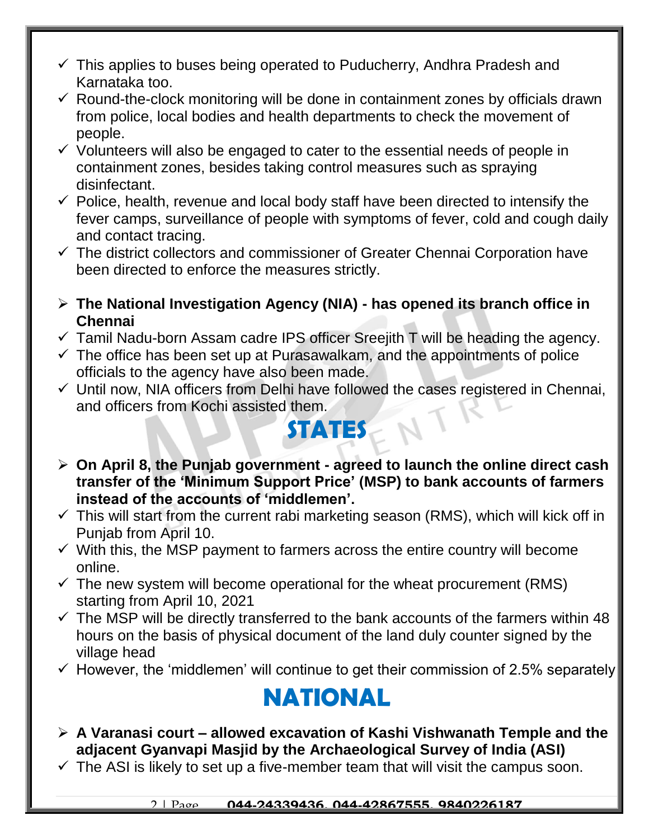- $\checkmark$  This applies to buses being operated to Puducherry, Andhra Pradesh and Karnataka too.
- $\checkmark$  Round-the-clock monitoring will be done in containment zones by officials drawn from police, local bodies and health departments to check the movement of people.
- $\checkmark$  Volunteers will also be engaged to cater to the essential needs of people in containment zones, besides taking control measures such as spraying disinfectant.
- $\checkmark$  Police, health, revenue and local body staff have been directed to intensify the fever camps, surveillance of people with symptoms of fever, cold and cough daily and contact tracing.
- $\checkmark$  The district collectors and commissioner of Greater Chennai Corporation have been directed to enforce the measures strictly.
- **The National Investigation Agency (NIA) - has opened its branch office in Chennai**
- $\checkmark$  Tamil Nadu-born Assam cadre IPS officer Sreejith T will be heading the agency.
- $\checkmark$  The office has been set up at Purasawalkam, and the appointments of police officials to the agency have also been made.
- $\checkmark$  Until now, NIA officers from Delhi have followed the cases registered in Chennai, and officers from Kochi assisted them.

### **STATES**

- **On April 8, the Punjab government - agreed to launch the online direct cash transfer of the 'Minimum Support Price' (MSP) to bank accounts of farmers instead of the accounts of 'middlemen'.**
- $\checkmark$  This will start from the current rabi marketing season (RMS), which will kick off in Punjab from April 10.
- $\checkmark$  With this, the MSP payment to farmers across the entire country will become online.
- $\checkmark$  The new system will become operational for the wheat procurement (RMS) starting from April 10, 2021
- $\checkmark$  The MSP will be directly transferred to the bank accounts of the farmers within 48 hours on the basis of physical document of the land duly counter signed by the village head
- $\checkmark$  However, the 'middlemen' will continue to get their commission of 2.5% separately

### **NATIONAL**

- **A Varanasi court – allowed excavation of Kashi Vishwanath Temple and the adjacent Gyanvapi Masjid by the Archaeological Survey of India (ASI)**
- $\checkmark$  The ASI is likely to set up a five-member team that will visit the campus soon.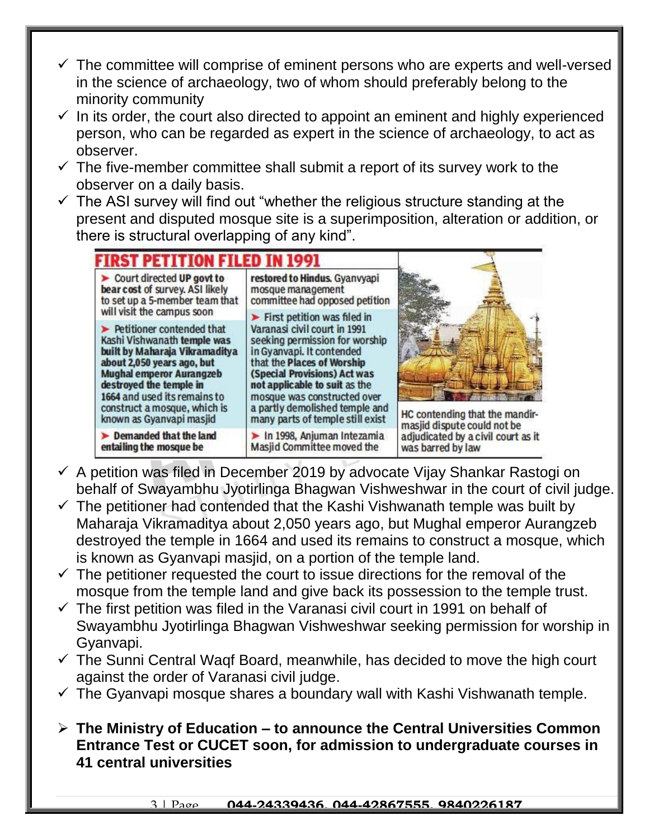- $\checkmark$  The committee will comprise of eminent persons who are experts and well-versed in the science of archaeology, two of whom should preferably belong to the minority community
- $\checkmark$  In its order, the court also directed to appoint an eminent and highly experienced person, who can be regarded as expert in the science of archaeology, to act as observer.
- $\checkmark$  The five-member committee shall submit a report of its survey work to the observer on a daily basis.
- $\checkmark$  The ASI survey will find out "whether the religious structure standing at the present and disputed mosque site is a superimposition, alteration or addition, or there is structural overlapping of any kind".



- $\checkmark$  A petition was filed in December 2019 by advocate Vijay Shankar Rastogi on behalf of Swayambhu Jyotirlinga Bhagwan Vishweshwar in the court of civil judge.
- $\checkmark$  The petitioner had contended that the Kashi Vishwanath temple was built by Maharaja Vikramaditya about 2,050 years ago, but Mughal emperor Aurangzeb destroyed the temple in 1664 and used its remains to construct a mosque, which is known as Gyanvapi masjid, on a portion of the temple land.
- $\checkmark$  The petitioner requested the court to issue directions for the removal of the mosque from the temple land and give back its possession to the temple trust.
- $\checkmark$  The first petition was filed in the Varanasi civil court in 1991 on behalf of Swayambhu Jyotirlinga Bhagwan Vishweshwar seeking permission for worship in Gyanvapi.
- $\checkmark$  The Sunni Central Waqf Board, meanwhile, has decided to move the high court against the order of Varanasi civil judge.
- $\checkmark$  The Gyanvapi mosque shares a boundary wall with Kashi Vishwanath temple.
- **The Ministry of Education – to announce the Central Universities Common Entrance Test or CUCET soon, for admission to undergraduate courses in 41 central universities**

#### 3 | Page **044-24339436, 044-42867555, 9840226187**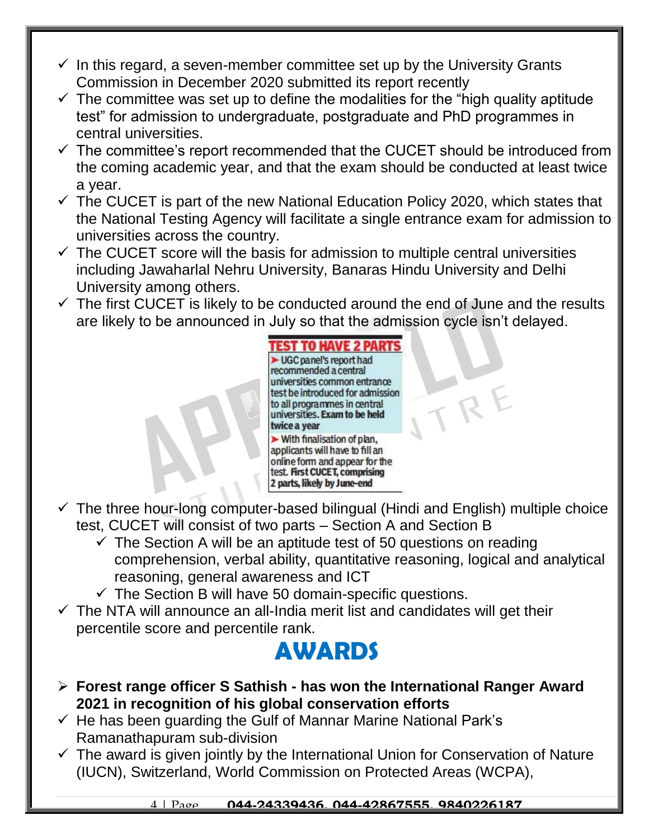- $\checkmark$  In this regard, a seven-member committee set up by the University Grants Commission in December 2020 submitted its report recently
- $\checkmark$  The committee was set up to define the modalities for the "high quality aptitude test" for admission to undergraduate, postgraduate and PhD programmes in central universities.
- $\checkmark$  The committee's report recommended that the CUCET should be introduced from the coming academic year, and that the exam should be conducted at least twice a year.
- $\checkmark$  The CUCET is part of the new National Education Policy 2020, which states that the National Testing Agency will facilitate a single entrance exam for admission to universities across the country.
- $\checkmark$  The CUCET score will the basis for admission to multiple central universities including Jawaharlal Nehru University, Banaras Hindu University and Delhi University among others.
- $\checkmark$  The first CUCET is likely to be conducted around the end of June and the results are likely to be announced in July so that the admission cycle isn't delayed.



 $R$ 

- $\checkmark$  The three hour-long computer-based bilingual (Hindi and English) multiple choice test, CUCET will consist of two parts – Section A and Section B
	- $\checkmark$  The Section A will be an aptitude test of 50 questions on reading comprehension, verbal ability, quantitative reasoning, logical and analytical reasoning, general awareness and ICT
	- $\checkmark$  The Section B will have 50 domain-specific questions.
- $\checkmark$  The NTA will announce an all-India merit list and candidates will get their percentile score and percentile rank.

### **AWARDS**

- **Forest range officer S Sathish - has won the International Ranger Award 2021 in recognition of his global conservation efforts**
- $\checkmark$  He has been guarding the Gulf of Mannar Marine National Park's Ramanathapuram sub-division
- $\checkmark$  The award is given jointly by the International Union for Conservation of Nature (IUCN), Switzerland, World Commission on Protected Areas (WCPA),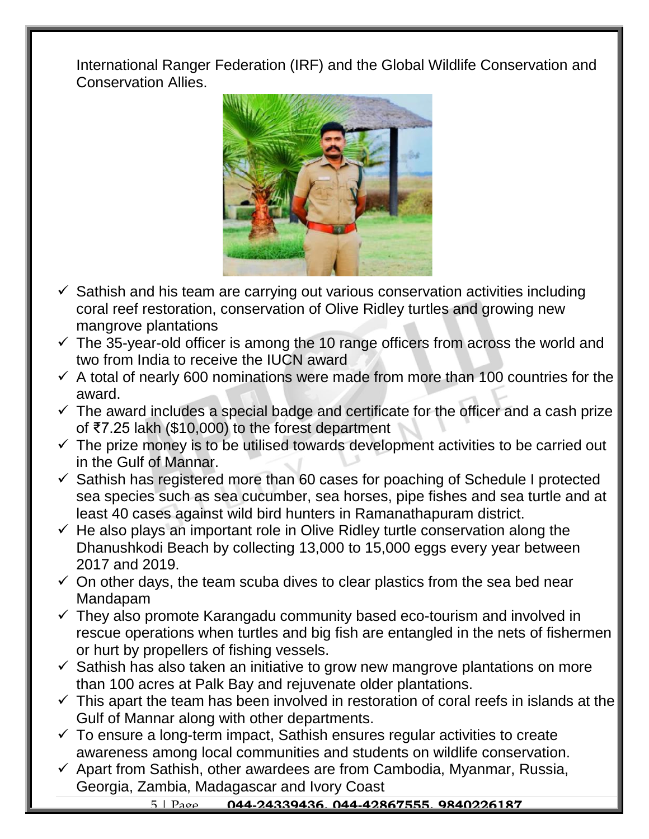International Ranger Federation (IRF) and the Global Wildlife Conservation and Conservation Allies.



- $\checkmark$  Sathish and his team are carrying out various conservation activities including coral reef restoration, conservation of Olive Ridley turtles and growing new mangrove plantations
- $\checkmark$  The 35-year-old officer is among the 10 range officers from across the world and two from India to receive the IUCN award
- $\checkmark$  A total of nearly 600 nominations were made from more than 100 countries for the award.
- $\checkmark$  The award includes a special badge and certificate for the officer and a cash prize of ₹7.25 lakh (\$10,000) to the forest department
- $\checkmark$  The prize money is to be utilised towards development activities to be carried out in the Gulf of Mannar.
- $\checkmark$  Sathish has registered more than 60 cases for poaching of Schedule I protected sea species such as sea cucumber, sea horses, pipe fishes and sea turtle and at least 40 cases against wild bird hunters in Ramanathapuram district.
- $\checkmark$  He also plays an important role in Olive Ridley turtle conservation along the Dhanushkodi Beach by collecting 13,000 to 15,000 eggs every year between 2017 and 2019.
- $\checkmark$  On other days, the team scuba dives to clear plastics from the sea bed near Mandapam
- $\checkmark$  They also promote Karangadu community based eco-tourism and involved in rescue operations when turtles and big fish are entangled in the nets of fishermen or hurt by propellers of fishing vessels.
- $\checkmark$  Sathish has also taken an initiative to grow new mangrove plantations on more than 100 acres at Palk Bay and rejuvenate older plantations.
- $\checkmark$  This apart the team has been involved in restoration of coral reefs in islands at the Gulf of Mannar along with other departments.
- $\checkmark$  To ensure a long-term impact, Sathish ensures regular activities to create awareness among local communities and students on wildlife conservation.
- $\checkmark$  Apart from Sathish, other awardees are from Cambodia, Myanmar, Russia, Georgia, Zambia, Madagascar and Ivory Coast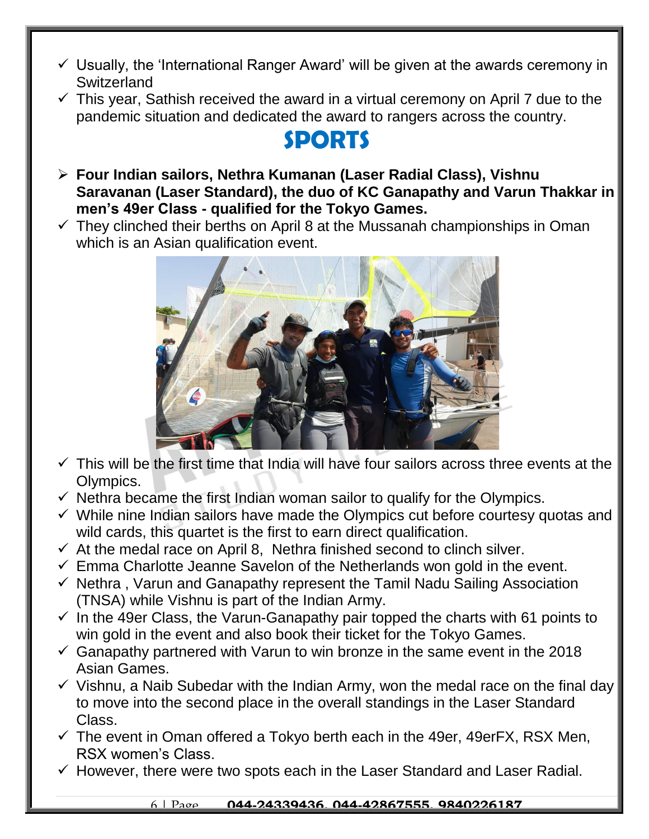- $\checkmark$  Usually, the 'International Ranger Award' will be given at the awards ceremony in **Switzerland**
- $\checkmark$  This year, Sathish received the award in a virtual ceremony on April 7 due to the pandemic situation and dedicated the award to rangers across the country.

## **SPORTS**

- **Four Indian sailors, Nethra Kumanan (Laser Radial Class), Vishnu Saravanan (Laser Standard), the duo of KC Ganapathy and Varun Thakkar in men's 49er Class - qualified for the Tokyo Games.**
- $\checkmark$  They clinched their berths on April 8 at the Mussanah championships in Oman which is an Asian qualification event.



- $\checkmark$  This will be the first time that India will have four sailors across three events at the Olympics.
- $\checkmark$  Nethra became the first Indian woman sailor to qualify for the Olympics.
- $\checkmark$  While nine Indian sailors have made the Olympics cut before courtesy quotas and wild cards, this quartet is the first to earn direct qualification.
- $\checkmark$  At the medal race on April 8, Nethra finished second to clinch silver.
- $\checkmark$  Emma Charlotte Jeanne Savelon of the Netherlands won gold in the event.
- $\checkmark$  Nethra, Varun and Ganapathy represent the Tamil Nadu Sailing Association (TNSA) while Vishnu is part of the Indian Army.
- $\checkmark$  In the 49er Class, the Varun-Ganapathy pair topped the charts with 61 points to win gold in the event and also book their ticket for the Tokyo Games.
- $\checkmark$  Ganapathy partnered with Varun to win bronze in the same event in the 2018 Asian Games.
- $\checkmark$  Vishnu, a Naib Subedar with the Indian Army, won the medal race on the final day to move into the second place in the overall standings in the Laser Standard Class.
- $\checkmark$  The event in Oman offered a Tokyo berth each in the 49er, 49erFX, RSX Men, RSX women's Class.
- $\checkmark$  However, there were two spots each in the Laser Standard and Laser Radial.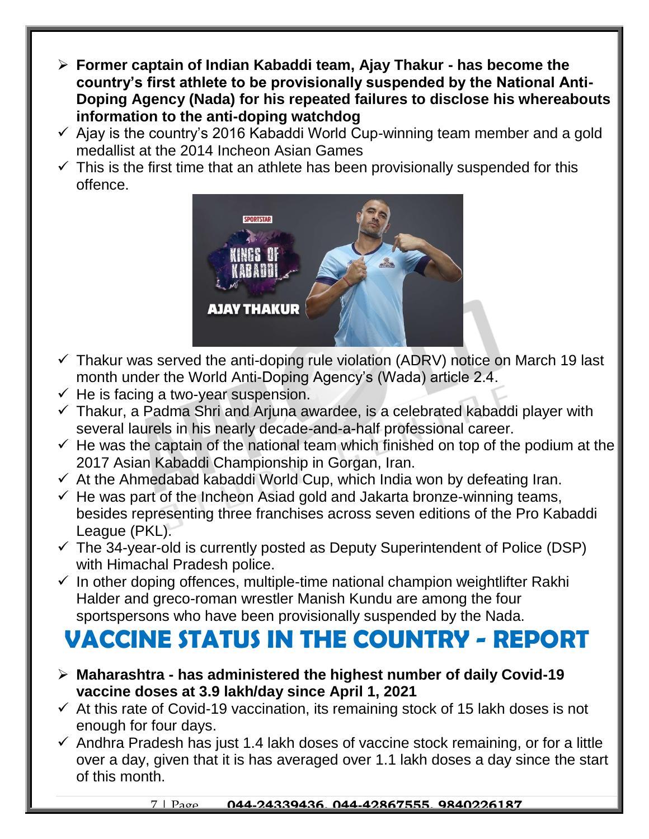- **Former captain of Indian Kabaddi team, Ajay Thakur - has become the country's first athlete to be provisionally suspended by the National Anti-Doping Agency (Nada) for his repeated failures to disclose his whereabouts information to the anti-doping watchdog**
- $\checkmark$  Ajay is the country's 2016 Kabaddi World Cup-winning team member and a gold medallist at the 2014 Incheon Asian Games
- $\checkmark$  This is the first time that an athlete has been provisionally suspended for this offence.



- $\checkmark$  Thakur was served the anti-doping rule violation (ADRV) notice on March 19 last month under the World Anti-Doping Agency's (Wada) article 2.4.
- $\checkmark$  He is facing a two-year suspension.
- $\checkmark$  Thakur, a Padma Shri and Arjuna awardee, is a celebrated kabaddi player with several laurels in his nearly decade-and-a-half professional career.
- $\checkmark$  He was the captain of the national team which finished on top of the podium at the 2017 Asian Kabaddi Championship in Gorgan, Iran.
- $\checkmark$  At the Ahmedabad kabaddi World Cup, which India won by defeating Iran.
- $\checkmark$  He was part of the Incheon Asiad gold and Jakarta bronze-winning teams, besides representing three franchises across seven editions of the Pro Kabaddi League (PKL).
- $\checkmark$  The 34-year-old is currently posted as Deputy Superintendent of Police (DSP) with Himachal Pradesh police.
- $\checkmark$  In other doping offences, multiple-time national champion weightlifter Rakhi Halder and greco-roman wrestler Manish Kundu are among the four sportspersons who have been provisionally suspended by the Nada.

## **VACCINE STATUS IN THE COUNTRY - REPORT**

- **Maharashtra - has administered the highest number of daily Covid-19 vaccine doses at 3.9 lakh/day since April 1, 2021**
- $\checkmark$  At this rate of Covid-19 vaccination, its remaining stock of 15 lakh doses is not enough for four days.
- $\checkmark$  Andhra Pradesh has just 1.4 lakh doses of vaccine stock remaining, or for a little over a day, given that it is has averaged over 1.1 lakh doses a day since the start of this month.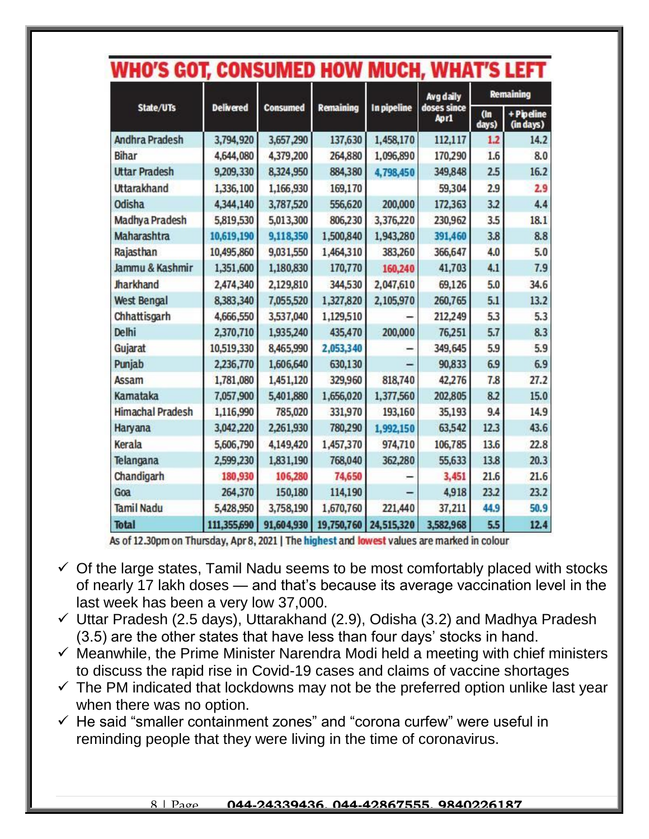|                         | <b>WHO 3 GOT, CONSUMED HOW</b> |                 |                  |             | <b>IVIUUN, WHAI 3 LEFI</b>       |                  |                         |
|-------------------------|--------------------------------|-----------------|------------------|-------------|----------------------------------|------------------|-------------------------|
| State/UTs               | <b>Delivered</b>               | <b>Consumed</b> | <b>Remaining</b> | In pipeline | Avg daily<br>doses since<br>Apr1 | <b>Remaining</b> |                         |
|                         |                                |                 |                  |             |                                  | (n)<br>days)     | + Pipeline<br>(in days) |
| <b>Andhra Pradesh</b>   | 3,794,920                      | 3,657,290       | 137,630          | 1,458,170   | 112,117                          | 1.2              | 14.2                    |
| <b>Bihar</b>            | 4,644,080                      | 4,379,200       | 264,880          | 1,096,890   | 170,290                          | 1.6              | 8.0                     |
| <b>Uttar Pradesh</b>    | 9,209,330                      | 8,324,950       | 884,380          | 4,798,450   | 349,848                          | 2.5              | 16.2                    |
| <b>Uttarakhand</b>      | 1,336,100                      | 1,166,930       | 169,170          |             | 59,304                           | 2.9              | 2.9                     |
| <b>Odisha</b>           | 4,344,140                      | 3,787,520       | 556,620          | 200,000     | 172,363                          | 3.2              | 4.4                     |
| <b>Madhya Pradesh</b>   | 5,819,530                      | 5,013,300       | 806,230          | 3,376,220   | 230,962                          | 3.5              | 18.1                    |
| Maharashtra             | 10,619,190                     | 9,118,350       | 1,500,840        | 1,943,280   | 391,460                          | 3.8              | 8.8                     |
| Rajasthan               | 10,495,860                     | 9,031,550       | 1,464,310        | 383,260     | 366,647                          | 4.0              | 5.0                     |
| Jammu & Kashmir         | 1,351,600                      | 1,180,830       | 170,770          | 160,240     | 41,703                           | 4.1              | 7.9                     |
| Jharkhand               | 2,474,340                      | 2,129,810       | 344,530          | 2,047,610   | 69,126                           | 5.0              | 34.6                    |
| <b>West Bengal</b>      | 8,383,340                      | 7,055,520       | 1,327,820        | 2,105,970   | 260,765                          | 5.1              | 13.2                    |
| Chhattisgarh            | 4,666,550                      | 3,537,040       | 1,129,510        |             | 212,249                          | 5.3              | 5.3                     |
| Delhi                   | 2,370,710                      | 1,935,240       | 435,470          | 200,000     | 76,251                           | 5.7              | 8.3                     |
| Gujarat                 | 10,519,330                     | 8,465,990       | 2,053,340        |             | 349,645                          | 5.9              | 5.9                     |
| Punjab                  | 2,236,770                      | 1,606,640       | 630,130          |             | 90,833                           | 6.9              | 6.9                     |
| <b>Assam</b>            | 1,781,080                      | 1,451,120       | 329,960          | 818,740     | 42,276                           | 7.8              | 27.2                    |
| Kamataka                | 7,057,900                      | 5,401,880       | 1,656,020        | 1,377,560   | 202,805                          | 8.2              | 15.0                    |
| <b>Himachal Pradesh</b> | 1,116,990                      | 785,020         | 331,970          | 193,160     | 35,193                           | 9.4              | 14.9                    |
| Haryana                 | 3,042,220                      | 2,261,930       | 780,290          | 1,992,150   | 63,542                           | 12.3             | 43.6                    |
| Kerala                  | 5,606,790                      | 4,149,420       | 1,457,370        | 974,710     | 106,785                          | 13.6             | 22.8                    |
| Telangana               | 2,599,230                      | 1,831,190       | 768,040          | 362,280     | 55,633                           | 13.8             | 20.3                    |
| Chandigarh              | 180,930                        | 106,280         | 74,650           |             | 3,451                            | 21.6             | 21.6                    |
| Goa                     | 264,370                        | 150,180         | 114,190          |             | 4,918                            | 23.2             | 23.2                    |
| <b>Tamil Nadu</b>       | 5,428,950                      | 3,758,190       | 1,670,760        | 221,440     | 37,211                           | 44.9             | 50.9                    |
| <b>Total</b>            | 111,355,690                    | 91,604,930      | 19,750,760       | 24,515,320  | 3,582,968                        | 5.5              | 12.4                    |

### *AAUGUREER HAUL BRUAU*

As of 12.30pm on Thursday, Apr 8, 2021 | The highest and lowest values are marked in colour

- $\checkmark$  Of the large states, Tamil Nadu seems to be most comfortably placed with stocks of nearly 17 lakh doses — and that's because its average vaccination level in the last week has been a very low 37,000.
- $\checkmark$  Uttar Pradesh (2.5 days), Uttarakhand (2.9), Odisha (3.2) and Madhya Pradesh (3.5) are the other states that have less than four days' stocks in hand.
- $\checkmark$  Meanwhile, the Prime Minister Narendra Modi held a meeting with chief ministers to discuss the rapid rise in Covid-19 cases and claims of vaccine shortages
- $\checkmark$  The PM indicated that lockdowns may not be the preferred option unlike last year when there was no option.
- $\checkmark$  He said "smaller containment zones" and "corona curfew" were useful in reminding people that they were living in the time of coronavirus.